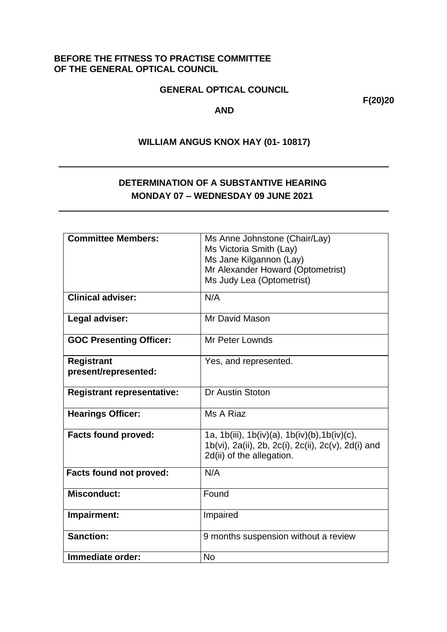### **BEFORE THE FITNESS TO PRACTISE COMMITTEE OF THE GENERAL OPTICAL COUNCIL**

### **GENERAL OPTICAL COUNCIL**

**F(20)20**

#### **AND**

# **WILLIAM ANGUS KNOX HAY (01- 10817)**

# **DETERMINATION OF A SUBSTANTIVE HEARING MONDAY 07 – WEDNESDAY 09 JUNE 2021**

| <b>Committee Members:</b>         | Ms Anne Johnstone (Chair/Lay)                       |
|-----------------------------------|-----------------------------------------------------|
|                                   | Ms Victoria Smith (Lay)                             |
|                                   | Ms Jane Kilgannon (Lay)                             |
|                                   | Mr Alexander Howard (Optometrist)                   |
|                                   | Ms Judy Lea (Optometrist)                           |
|                                   |                                                     |
| <b>Clinical adviser:</b>          | N/A                                                 |
|                                   |                                                     |
| Legal adviser:                    | Mr David Mason                                      |
|                                   |                                                     |
| <b>GOC Presenting Officer:</b>    | Mr Peter Lownds                                     |
|                                   |                                                     |
| <b>Registrant</b>                 | Yes, and represented.                               |
| present/represented:              |                                                     |
|                                   |                                                     |
| <b>Registrant representative:</b> | Dr Austin Stoton                                    |
|                                   |                                                     |
| <b>Hearings Officer:</b>          | Ms A Riaz                                           |
|                                   |                                                     |
| <b>Facts found proved:</b>        | 1a, 1b(iii), 1b(iv)(a), 1b(iv)(b), 1b(iv)(c),       |
|                                   |                                                     |
|                                   | 1b(vi), 2a(ii), 2b, 2c(i), 2c(ii), 2c(v), 2d(i) and |
|                                   | 2d(ii) of the allegation.                           |
| <b>Facts found not proved:</b>    | N/A                                                 |
|                                   |                                                     |
| <b>Misconduct:</b>                | Found                                               |
|                                   |                                                     |
|                                   |                                                     |
| Impairment:                       | Impaired                                            |
|                                   |                                                     |
| <b>Sanction:</b>                  | 9 months suspension without a review                |
|                                   |                                                     |
| Immediate order:                  | <b>No</b>                                           |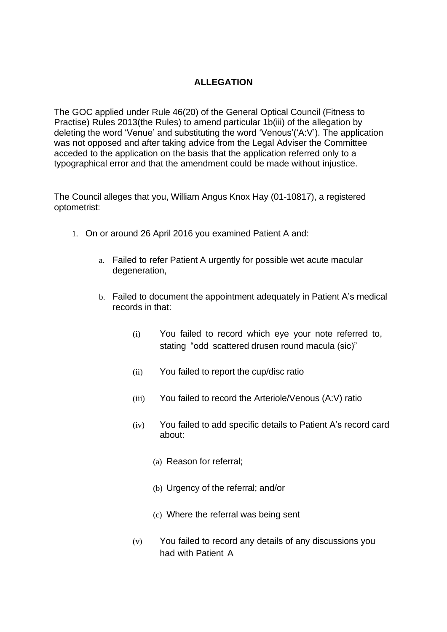# **ALLEGATION**

The GOC applied under Rule 46(20) of the General Optical Council (Fitness to Practise) Rules 2013(the Rules) to amend particular 1b(iii) of the allegation by deleting the word 'Venue' and substituting the word 'Venous'('A:V'). The application was not opposed and after taking advice from the Legal Adviser the Committee acceded to the application on the basis that the application referred only to a typographical error and that the amendment could be made without injustice.

The Council alleges that you, William Angus Knox Hay (01-10817), a registered optometrist:

- 1. On or around 26 April 2016 you examined Patient A and:
	- a. Failed to refer Patient A urgently for possible wet acute macular degeneration,
	- b. Failed to document the appointment adequately in Patient A's medical records in that:
		- (i) You failed to record which eye your note referred to, stating "odd scattered drusen round macula (sic)"
		- (ii) You failed to report the cup/disc ratio
		- (iii) You failed to record the Arteriole/Venous (A:V) ratio
		- (iv) You failed to add specific details to Patient A's record card about:
			- (a) Reason for referral;
			- (b) Urgency of the referral; and/or
			- (c) Where the referral was being sent
		- (v) You failed to record any details of any discussions you had with Patient A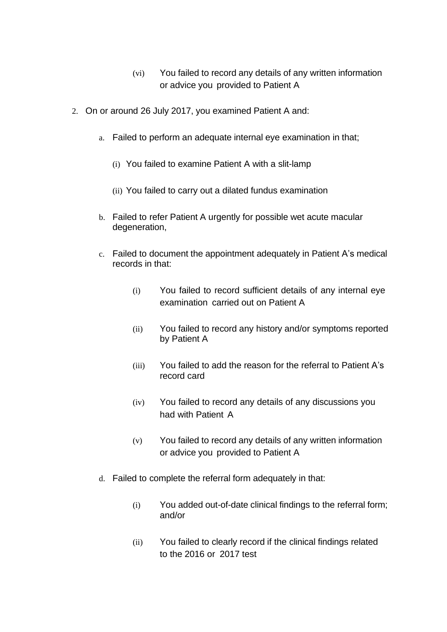- (vi) You failed to record any details of any written information or advice you provided to Patient A
- 2. On or around 26 July 2017, you examined Patient A and:
	- a. Failed to perform an adequate internal eye examination in that;
		- (i) You failed to examine Patient A with a slit-lamp
		- (ii) You failed to carry out a dilated fundus examination
	- b. Failed to refer Patient A urgently for possible wet acute macular degeneration,
	- c. Failed to document the appointment adequately in Patient A's medical records in that:
		- (i) You failed to record sufficient details of any internal eye examination carried out on Patient A
		- (ii) You failed to record any history and/or symptoms reported by Patient A
		- (iii) You failed to add the reason for the referral to Patient A's record card
		- (iv) You failed to record any details of any discussions you had with Patient A
		- (v) You failed to record any details of any written information or advice you provided to Patient A
	- d. Failed to complete the referral form adequately in that:
		- (i) You added out-of-date clinical findings to the referral form; and/or
		- (ii) You failed to clearly record if the clinical findings related to the 2016 or 2017 test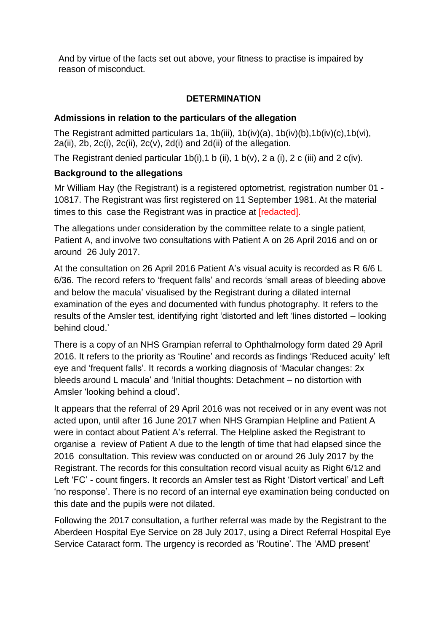And by virtue of the facts set out above, your fitness to practise is impaired by reason of misconduct.

# **DETERMINATION**

## **Admissions in relation to the particulars of the allegation**

The Registrant admitted particulars 1a, 1b(iii), 1b(iv)(a), 1b(iv)(b),1b(iv)(c),1b(vi),  $2a(ii)$ ,  $2b$ ,  $2c(i)$ ,  $2c(ii)$ ,  $2c(v)$ ,  $2d(i)$  and  $2d(ii)$  of the allegation.

The Registrant denied particular 1b(i), 1 b (ii), 1 b(v), 2 a (i), 2 c (iii) and 2 c(iv).

## **Background to the allegations**

Mr William Hay (the Registrant) is a registered optometrist, registration number 01 - 10817. The Registrant was first registered on 11 September 1981. At the material times to this case the Registrant was in practice at [redacted].

The allegations under consideration by the committee relate to a single patient, Patient A, and involve two consultations with Patient A on 26 April 2016 and on or around 26 July 2017.

At the consultation on 26 April 2016 Patient A's visual acuity is recorded as R 6/6 L 6/36. The record refers to 'frequent falls' and records 'small areas of bleeding above and below the macula' visualised by the Registrant during a dilated internal examination of the eyes and documented with fundus photography. It refers to the results of the Amsler test, identifying right 'distorted and left 'lines distorted – looking behind cloud.'

There is a copy of an NHS Grampian referral to Ophthalmology form dated 29 April 2016. It refers to the priority as 'Routine' and records as findings 'Reduced acuity' left eye and 'frequent falls'. It records a working diagnosis of 'Macular changes: 2x bleeds around L macula' and 'Initial thoughts: Detachment – no distortion with Amsler 'looking behind a cloud'.

It appears that the referral of 29 April 2016 was not received or in any event was not acted upon, until after 16 June 2017 when NHS Grampian Helpline and Patient A were in contact about Patient A's referral. The Helpline asked the Registrant to organise a review of Patient A due to the length of time that had elapsed since the 2016 consultation. This review was conducted on or around 26 July 2017 by the Registrant. The records for this consultation record visual acuity as Right 6/12 and Left 'FC' - count fingers. It records an Amsler test as Right 'Distort vertical' and Left 'no response'. There is no record of an internal eye examination being conducted on this date and the pupils were not dilated.

Following the 2017 consultation, a further referral was made by the Registrant to the Aberdeen Hospital Eye Service on 28 July 2017, using a Direct Referral Hospital Eye Service Cataract form. The urgency is recorded as 'Routine'. The 'AMD present'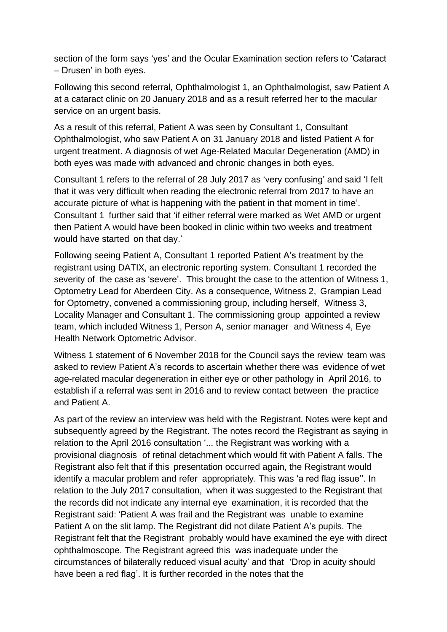section of the form says 'yes' and the Ocular Examination section refers to 'Cataract – Drusen' in both eyes.

Following this second referral, Ophthalmologist 1, an Ophthalmologist, saw Patient A at a cataract clinic on 20 January 2018 and as a result referred her to the macular service on an urgent basis.

As a result of this referral, Patient A was seen by Consultant 1, Consultant Ophthalmologist, who saw Patient A on 31 January 2018 and listed Patient A for urgent treatment. A diagnosis of wet Age-Related Macular Degeneration (AMD) in both eyes was made with advanced and chronic changes in both eyes.

Consultant 1 refers to the referral of 28 July 2017 as 'very confusing' and said 'I felt that it was very difficult when reading the electronic referral from 2017 to have an accurate picture of what is happening with the patient in that moment in time'. Consultant 1 further said that 'if either referral were marked as Wet AMD or urgent then Patient A would have been booked in clinic within two weeks and treatment would have started on that day.'

Following seeing Patient A, Consultant 1 reported Patient A's treatment by the registrant using DATIX, an electronic reporting system. Consultant 1 recorded the severity of the case as 'severe'. This brought the case to the attention of Witness 1, Optometry Lead for Aberdeen City. As a consequence, Witness 2, Grampian Lead for Optometry, convened a commissioning group, including herself, Witness 3, Locality Manager and Consultant 1. The commissioning group appointed a review team, which included Witness 1, Person A, senior manager and Witness 4, Eye Health Network Optometric Advisor.

Witness 1 statement of 6 November 2018 for the Council says the review team was asked to review Patient A's records to ascertain whether there was evidence of wet age-related macular degeneration in either eye or other pathology in April 2016, to establish if a referral was sent in 2016 and to review contact between the practice and Patient A.

As part of the review an interview was held with the Registrant. Notes were kept and subsequently agreed by the Registrant. The notes record the Registrant as saying in relation to the April 2016 consultation '... the Registrant was working with a provisional diagnosis of retinal detachment which would fit with Patient A falls. The Registrant also felt that if this presentation occurred again, the Registrant would identify a macular problem and refer appropriately. This was 'a red flag issue''. In relation to the July 2017 consultation, when it was suggested to the Registrant that the records did not indicate any internal eye examination, it is recorded that the Registrant said: 'Patient A was frail and the Registrant was unable to examine Patient A on the slit lamp. The Registrant did not dilate Patient A's pupils. The Registrant felt that the Registrant probably would have examined the eye with direct ophthalmoscope. The Registrant agreed this was inadequate under the circumstances of bilaterally reduced visual acuity' and that 'Drop in acuity should have been a red flag'. It is further recorded in the notes that the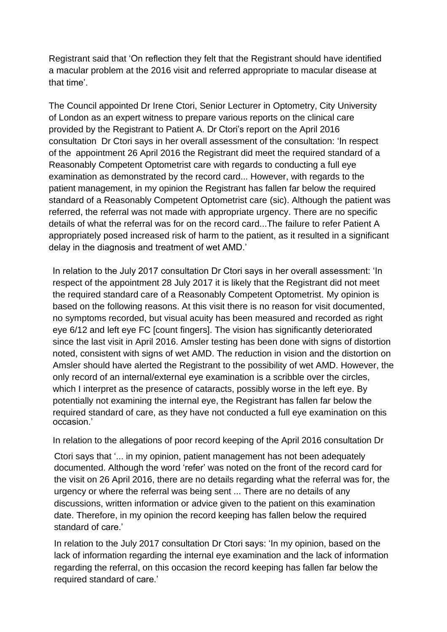Registrant said that 'On reflection they felt that the Registrant should have identified a macular problem at the 2016 visit and referred appropriate to macular disease at that time'.

The Council appointed Dr Irene Ctori, Senior Lecturer in Optometry, City University of London as an expert witness to prepare various reports on the clinical care provided by the Registrant to Patient A. Dr Ctori's report on the April 2016 consultation Dr Ctori says in her overall assessment of the consultation: 'In respect of the appointment 26 April 2016 the Registrant did meet the required standard of a Reasonably Competent Optometrist care with regards to conducting a full eye examination as demonstrated by the record card... However, with regards to the patient management, in my opinion the Registrant has fallen far below the required standard of a Reasonably Competent Optometrist care (sic). Although the patient was referred, the referral was not made with appropriate urgency. There are no specific details of what the referral was for on the record card...The failure to refer Patient A appropriately posed increased risk of harm to the patient, as it resulted in a significant delay in the diagnosis and treatment of wet AMD.'

In relation to the July 2017 consultation Dr Ctori says in her overall assessment: 'In respect of the appointment 28 July 2017 it is likely that the Registrant did not meet the required standard care of a Reasonably Competent Optometrist. My opinion is based on the following reasons. At this visit there is no reason for visit documented, no symptoms recorded, but visual acuity has been measured and recorded as right eye 6/12 and left eye FC [count fingers]. The vision has significantly deteriorated since the last visit in April 2016. Amsler testing has been done with signs of distortion noted, consistent with signs of wet AMD. The reduction in vision and the distortion on Amsler should have alerted the Registrant to the possibility of wet AMD. However, the only record of an internal/external eye examination is a scribble over the circles, which I interpret as the presence of cataracts, possibly worse in the left eye. By potentially not examining the internal eye, the Registrant has fallen far below the required standard of care, as they have not conducted a full eye examination on this occasion.'

In relation to the allegations of poor record keeping of the April 2016 consultation Dr

Ctori says that '... in my opinion, patient management has not been adequately documented. Although the word 'refer' was noted on the front of the record card for the visit on 26 April 2016, there are no details regarding what the referral was for, the urgency or where the referral was being sent ... There are no details of any discussions, written information or advice given to the patient on this examination date. Therefore, in my opinion the record keeping has fallen below the required standard of care.'

In relation to the July 2017 consultation Dr Ctori says: 'In my opinion, based on the lack of information regarding the internal eye examination and the lack of information regarding the referral, on this occasion the record keeping has fallen far below the required standard of care.'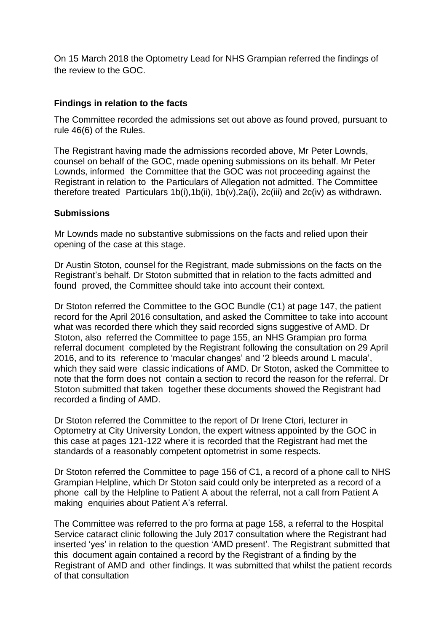On 15 March 2018 the Optometry Lead for NHS Grampian referred the findings of the review to the GOC.

## **Findings in relation to the facts**

The Committee recorded the admissions set out above as found proved, pursuant to rule 46(6) of the Rules.

The Registrant having made the admissions recorded above, Mr Peter Lownds, counsel on behalf of the GOC, made opening submissions on its behalf. Mr Peter Lownds, informed the Committee that the GOC was not proceeding against the Registrant in relation to the Particulars of Allegation not admitted. The Committee therefore treated Particulars 1b(i), 1b(ii), 1b(v),  $2a(i)$ ,  $2c(iii)$  and  $2c(iv)$  as withdrawn.

## **Submissions**

Mr Lownds made no substantive submissions on the facts and relied upon their opening of the case at this stage.

Dr Austin Stoton, counsel for the Registrant, made submissions on the facts on the Registrant's behalf. Dr Stoton submitted that in relation to the facts admitted and found proved, the Committee should take into account their context.

Dr Stoton referred the Committee to the GOC Bundle (C1) at page 147, the patient record for the April 2016 consultation, and asked the Committee to take into account what was recorded there which they said recorded signs suggestive of AMD. Dr Stoton, also referred the Committee to page 155, an NHS Grampian pro forma referral document completed by the Registrant following the consultation on 29 April 2016, and to its reference to 'macular changes' and '2 bleeds around L macula', which they said were classic indications of AMD. Dr Stoton, asked the Committee to note that the form does not contain a section to record the reason for the referral. Dr Stoton submitted that taken together these documents showed the Registrant had recorded a finding of AMD.

Dr Stoton referred the Committee to the report of Dr Irene Ctori, lecturer in Optometry at City University London, the expert witness appointed by the GOC in this case at pages 121-122 where it is recorded that the Registrant had met the standards of a reasonably competent optometrist in some respects.

Dr Stoton referred the Committee to page 156 of C1, a record of a phone call to NHS Grampian Helpline, which Dr Stoton said could only be interpreted as a record of a phone call by the Helpline to Patient A about the referral, not a call from Patient A making enquiries about Patient A's referral.

The Committee was referred to the pro forma at page 158, a referral to the Hospital Service cataract clinic following the July 2017 consultation where the Registrant had inserted 'yes' in relation to the question 'AMD present'. The Registrant submitted that this document again contained a record by the Registrant of a finding by the Registrant of AMD and other findings. It was submitted that whilst the patient records of that consultation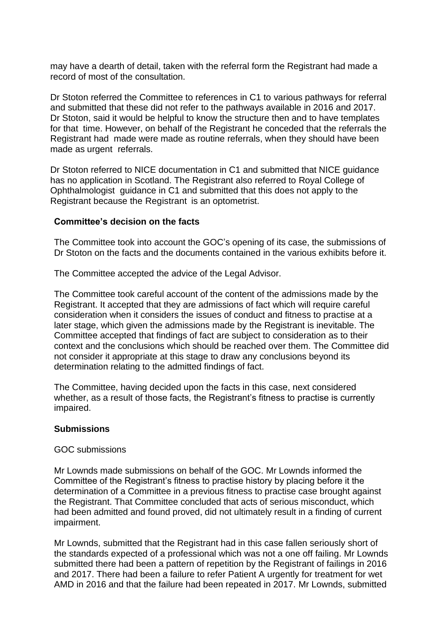may have a dearth of detail, taken with the referral form the Registrant had made a record of most of the consultation.

Dr Stoton referred the Committee to references in C1 to various pathways for referral and submitted that these did not refer to the pathways available in 2016 and 2017. Dr Stoton, said it would be helpful to know the structure then and to have templates for that time. However, on behalf of the Registrant he conceded that the referrals the Registrant had made were made as routine referrals, when they should have been made as urgent referrals.

Dr Stoton referred to NICE documentation in C1 and submitted that NICE guidance has no application in Scotland. The Registrant also referred to Royal College of Ophthalmologist guidance in C1 and submitted that this does not apply to the Registrant because the Registrant is an optometrist.

#### **Committee's decision on the facts**

The Committee took into account the GOC's opening of its case, the submissions of Dr Stoton on the facts and the documents contained in the various exhibits before it.

The Committee accepted the advice of the Legal Advisor.

The Committee took careful account of the content of the admissions made by the Registrant. It accepted that they are admissions of fact which will require careful consideration when it considers the issues of conduct and fitness to practise at a later stage, which given the admissions made by the Registrant is inevitable. The Committee accepted that findings of fact are subject to consideration as to their context and the conclusions which should be reached over them. The Committee did not consider it appropriate at this stage to draw any conclusions beyond its determination relating to the admitted findings of fact.

The Committee, having decided upon the facts in this case, next considered whether, as a result of those facts, the Registrant's fitness to practise is currently impaired.

#### **Submissions**

#### GOC submissions

Mr Lownds made submissions on behalf of the GOC. Mr Lownds informed the Committee of the Registrant's fitness to practise history by placing before it the determination of a Committee in a previous fitness to practise case brought against the Registrant. That Committee concluded that acts of serious misconduct, which had been admitted and found proved, did not ultimately result in a finding of current impairment.

Mr Lownds, submitted that the Registrant had in this case fallen seriously short of the standards expected of a professional which was not a one off failing. Mr Lownds submitted there had been a pattern of repetition by the Registrant of failings in 2016 and 2017. There had been a failure to refer Patient A urgently for treatment for wet AMD in 2016 and that the failure had been repeated in 2017. Mr Lownds, submitted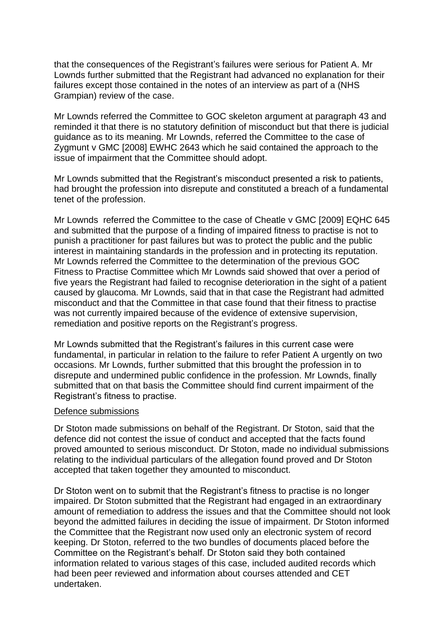that the consequences of the Registrant's failures were serious for Patient A. Mr Lownds further submitted that the Registrant had advanced no explanation for their failures except those contained in the notes of an interview as part of a (NHS Grampian) review of the case.

Mr Lownds referred the Committee to GOC skeleton argument at paragraph 43 and reminded it that there is no statutory definition of misconduct but that there is judicial guidance as to its meaning. Mr Lownds, referred the Committee to the case of Zygmunt v GMC [2008] EWHC 2643 which he said contained the approach to the issue of impairment that the Committee should adopt.

Mr Lownds submitted that the Registrant's misconduct presented a risk to patients, had brought the profession into disrepute and constituted a breach of a fundamental tenet of the profession.

Mr Lownds referred the Committee to the case of Cheatle v GMC [2009] EQHC 645 and submitted that the purpose of a finding of impaired fitness to practise is not to punish a practitioner for past failures but was to protect the public and the public interest in maintaining standards in the profession and in protecting its reputation. Mr Lownds referred the Committee to the determination of the previous GOC Fitness to Practise Committee which Mr Lownds said showed that over a period of five years the Registrant had failed to recognise deterioration in the sight of a patient caused by glaucoma. Mr Lownds, said that in that case the Registrant had admitted misconduct and that the Committee in that case found that their fitness to practise was not currently impaired because of the evidence of extensive supervision, remediation and positive reports on the Registrant's progress.

Mr Lownds submitted that the Registrant's failures in this current case were fundamental, in particular in relation to the failure to refer Patient A urgently on two occasions. Mr Lownds, further submitted that this brought the profession in to disrepute and undermined public confidence in the profession. Mr Lownds, finally submitted that on that basis the Committee should find current impairment of the Registrant's fitness to practise.

#### Defence submissions

Dr Stoton made submissions on behalf of the Registrant. Dr Stoton, said that the defence did not contest the issue of conduct and accepted that the facts found proved amounted to serious misconduct. Dr Stoton, made no individual submissions relating to the individual particulars of the allegation found proved and Dr Stoton accepted that taken together they amounted to misconduct.

Dr Stoton went on to submit that the Registrant's fitness to practise is no longer impaired. Dr Stoton submitted that the Registrant had engaged in an extraordinary amount of remediation to address the issues and that the Committee should not look beyond the admitted failures in deciding the issue of impairment. Dr Stoton informed the Committee that the Registrant now used only an electronic system of record keeping. Dr Stoton, referred to the two bundles of documents placed before the Committee on the Registrant's behalf. Dr Stoton said they both contained information related to various stages of this case, included audited records which had been peer reviewed and information about courses attended and CET undertaken.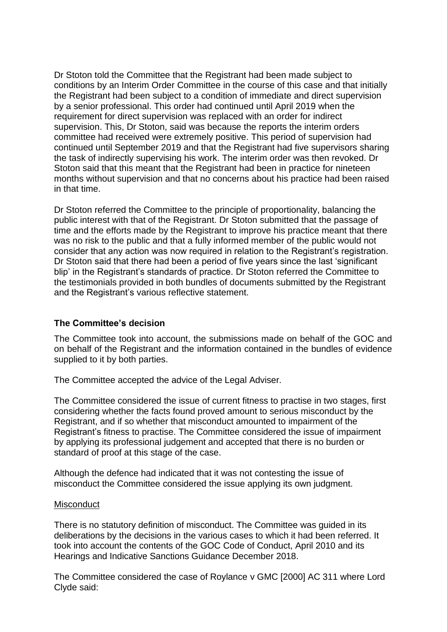Dr Stoton told the Committee that the Registrant had been made subject to conditions by an Interim Order Committee in the course of this case and that initially the Registrant had been subject to a condition of immediate and direct supervision by a senior professional. This order had continued until April 2019 when the requirement for direct supervision was replaced with an order for indirect supervision. This, Dr Stoton, said was because the reports the interim orders committee had received were extremely positive. This period of supervision had continued until September 2019 and that the Registrant had five supervisors sharing the task of indirectly supervising his work. The interim order was then revoked. Dr Stoton said that this meant that the Registrant had been in practice for nineteen months without supervision and that no concerns about his practice had been raised in that time.

Dr Stoton referred the Committee to the principle of proportionality, balancing the public interest with that of the Registrant. Dr Stoton submitted that the passage of time and the efforts made by the Registrant to improve his practice meant that there was no risk to the public and that a fully informed member of the public would not consider that any action was now required in relation to the Registrant's registration. Dr Stoton said that there had been a period of five years since the last 'significant blip' in the Registrant's standards of practice. Dr Stoton referred the Committee to the testimonials provided in both bundles of documents submitted by the Registrant and the Registrant's various reflective statement.

### **The Committee's decision**

The Committee took into account, the submissions made on behalf of the GOC and on behalf of the Registrant and the information contained in the bundles of evidence supplied to it by both parties.

The Committee accepted the advice of the Legal Adviser.

The Committee considered the issue of current fitness to practise in two stages, first considering whether the facts found proved amount to serious misconduct by the Registrant, and if so whether that misconduct amounted to impairment of the Registrant's fitness to practise. The Committee considered the issue of impairment by applying its professional judgement and accepted that there is no burden or standard of proof at this stage of the case.

Although the defence had indicated that it was not contesting the issue of misconduct the Committee considered the issue applying its own judgment.

#### **Misconduct**

There is no statutory definition of misconduct. The Committee was guided in its deliberations by the decisions in the various cases to which it had been referred. It took into account the contents of the GOC Code of Conduct, April 2010 and its Hearings and Indicative Sanctions Guidance December 2018.

The Committee considered the case of Roylance v GMC [2000] AC 311 where Lord Clyde said: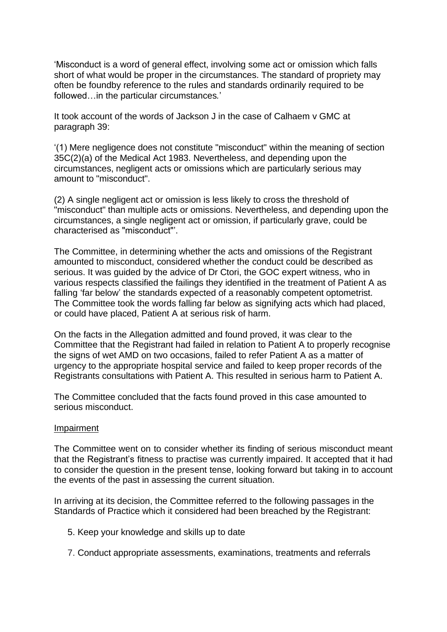'Misconduct is a word of general effect, involving some act or omission which falls short of what would be proper in the circumstances. The standard of propriety may often be foundby reference to the rules and standards ordinarily required to be followed…in the particular circumstances*.*'

It took account of the words of Jackson J in the case of Calhaem v GMC at paragraph 39:

'(1) Mere negligence does not constitute "misconduct" within the meaning of section 35C(2)(a) of the Medical Act 1983. Nevertheless, and depending upon the circumstances, negligent acts or omissions which are particularly serious may amount to "misconduct".

(2) A single negligent act or omission is less likely to cross the threshold of "misconduct" than multiple acts or omissions. Nevertheless, and depending upon the circumstances, a single negligent act or omission, if particularly grave, could be characterised as "misconduct"'.

The Committee, in determining whether the acts and omissions of the Registrant amounted to misconduct, considered whether the conduct could be described as serious. It was guided by the advice of Dr Ctori, the GOC expert witness, who in various respects classified the failings they identified in the treatment of Patient A as falling 'far below' the standards expected of a reasonably competent optometrist. The Committee took the words falling far below as signifying acts which had placed, or could have placed, Patient A at serious risk of harm.

On the facts in the Allegation admitted and found proved, it was clear to the Committee that the Registrant had failed in relation to Patient A to properly recognise the signs of wet AMD on two occasions, failed to refer Patient A as a matter of urgency to the appropriate hospital service and failed to keep proper records of the Registrants consultations with Patient A. This resulted in serious harm to Patient A.

The Committee concluded that the facts found proved in this case amounted to serious misconduct.

#### Impairment

The Committee went on to consider whether its finding of serious misconduct meant that the Registrant's fitness to practise was currently impaired. It accepted that it had to consider the question in the present tense, looking forward but taking in to account the events of the past in assessing the current situation.

In arriving at its decision, the Committee referred to the following passages in the Standards of Practice which it considered had been breached by the Registrant:

- 5. Keep your knowledge and skills up to date
- 7. Conduct appropriate assessments, examinations, treatments and referrals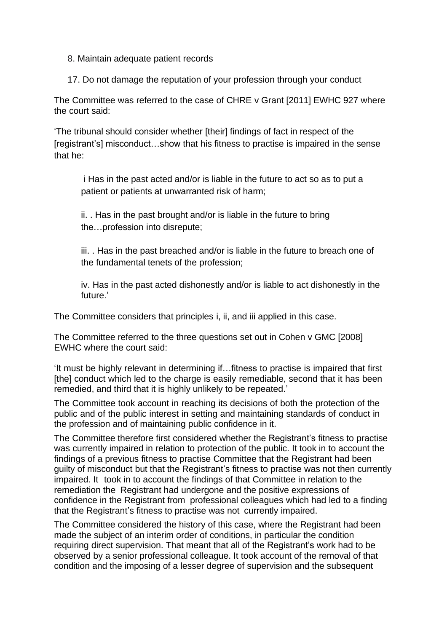- 8. Maintain adequate patient records
- 17. Do not damage the reputation of your profession through your conduct

The Committee was referred to the case of CHRE v Grant [2011] EWHC 927 where the court said:

'The tribunal should consider whether [their] findings of fact in respect of the [registrant's] misconduct…show that his fitness to practise is impaired in the sense that he:

i Has in the past acted and/or is liable in the future to act so as to put a patient or patients at unwarranted risk of harm;

ii. . Has in the past brought and/or is liable in the future to bring the…profession into disrepute;

iii. . Has in the past breached and/or is liable in the future to breach one of the fundamental tenets of the profession;

iv. Has in the past acted dishonestly and/or is liable to act dishonestly in the future.'

The Committee considers that principles i, ii, and iii applied in this case.

The Committee referred to the three questions set out in Cohen v GMC [2008] EWHC where the court said:

'It must be highly relevant in determining if…fitness to practise is impaired that first [the] conduct which led to the charge is easily remediable, second that it has been remedied, and third that it is highly unlikely to be repeated.'

The Committee took account in reaching its decisions of both the protection of the public and of the public interest in setting and maintaining standards of conduct in the profession and of maintaining public confidence in it.

The Committee therefore first considered whether the Registrant's fitness to practise was currently impaired in relation to protection of the public. It took in to account the findings of a previous fitness to practise Committee that the Registrant had been guilty of misconduct but that the Registrant's fitness to practise was not then currently impaired. It took in to account the findings of that Committee in relation to the remediation the Registrant had undergone and the positive expressions of confidence in the Registrant from professional colleagues which had led to a finding that the Registrant's fitness to practise was not currently impaired.

The Committee considered the history of this case, where the Registrant had been made the subject of an interim order of conditions, in particular the condition requiring direct supervision. That meant that all of the Registrant's work had to be observed by a senior professional colleague. It took account of the removal of that condition and the imposing of a lesser degree of supervision and the subsequent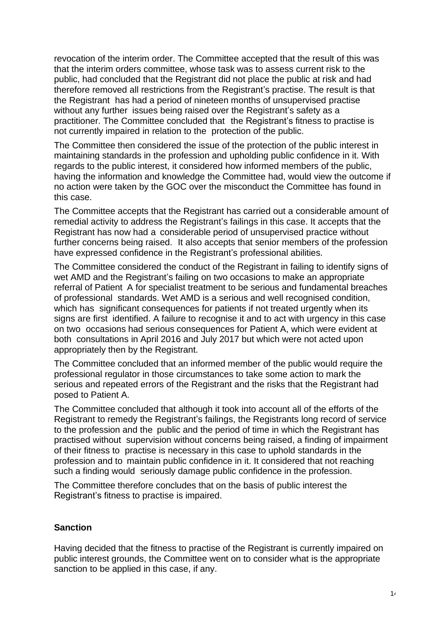revocation of the interim order. The Committee accepted that the result of this was that the interim orders committee, whose task was to assess current risk to the public, had concluded that the Registrant did not place the public at risk and had therefore removed all restrictions from the Registrant's practise. The result is that the Registrant has had a period of nineteen months of unsupervised practise without any further issues being raised over the Registrant's safety as a practitioner. The Committee concluded that the Registrant's fitness to practise is not currently impaired in relation to the protection of the public.

The Committee then considered the issue of the protection of the public interest in maintaining standards in the profession and upholding public confidence in it. With regards to the public interest, it considered how informed members of the public, having the information and knowledge the Committee had, would view the outcome if no action were taken by the GOC over the misconduct the Committee has found in this case.

The Committee accepts that the Registrant has carried out a considerable amount of remedial activity to address the Registrant's failings in this case. It accepts that the Registrant has now had a considerable period of unsupervised practice without further concerns being raised. It also accepts that senior members of the profession have expressed confidence in the Registrant's professional abilities.

The Committee considered the conduct of the Registrant in failing to identify signs of wet AMD and the Registrant's failing on two occasions to make an appropriate referral of Patient A for specialist treatment to be serious and fundamental breaches of professional standards. Wet AMD is a serious and well recognised condition, which has significant consequences for patients if not treated urgently when its signs are first identified. A failure to recognise it and to act with urgency in this case on two occasions had serious consequences for Patient A, which were evident at both consultations in April 2016 and July 2017 but which were not acted upon appropriately then by the Registrant.

The Committee concluded that an informed member of the public would require the professional regulator in those circumstances to take some action to mark the serious and repeated errors of the Registrant and the risks that the Registrant had posed to Patient A.

The Committee concluded that although it took into account all of the efforts of the Registrant to remedy the Registrant's failings, the Registrants long record of service to the profession and the public and the period of time in which the Registrant has practised without supervision without concerns being raised, a finding of impairment of their fitness to practise is necessary in this case to uphold standards in the profession and to maintain public confidence in it. It considered that not reaching such a finding would seriously damage public confidence in the profession.

The Committee therefore concludes that on the basis of public interest the Registrant's fitness to practise is impaired.

### **Sanction**

Having decided that the fitness to practise of the Registrant is currently impaired on public interest grounds, the Committee went on to consider what is the appropriate sanction to be applied in this case, if any.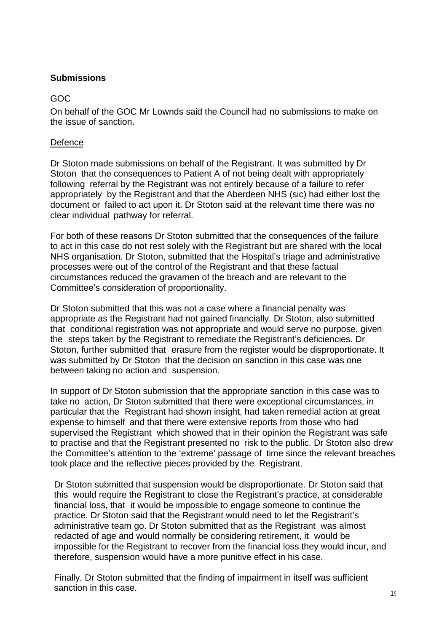## **Submissions**

# GOC

On behalf of the GOC Mr Lownds said the Council had no submissions to make on the issue of sanction.

### **Defence**

Dr Stoton made submissions on behalf of the Registrant. It was submitted by Dr Stoton that the consequences to Patient A of not being dealt with appropriately following referral by the Registrant was not entirely because of a failure to refer appropriately by the Registrant and that the Aberdeen NHS (sic) had either lost the document or failed to act upon it. Dr Stoton said at the relevant time there was no clear individual pathway for referral.

For both of these reasons Dr Stoton submitted that the consequences of the failure to act in this case do not rest solely with the Registrant but are shared with the local NHS organisation. Dr Stoton, submitted that the Hospital's triage and administrative processes were out of the control of the Registrant and that these factual circumstances reduced the gravamen of the breach and are relevant to the Committee's consideration of proportionality.

Dr Stoton submitted that this was not a case where a financial penalty was appropriate as the Registrant had not gained financially. Dr Stoton, also submitted that conditional registration was not appropriate and would serve no purpose, given the steps taken by the Registrant to remediate the Registrant's deficiencies. Dr Stoton, further submitted that erasure from the register would be disproportionate. It was submitted by Dr Stoton that the decision on sanction in this case was one between taking no action and suspension.

In support of Dr Stoton submission that the appropriate sanction in this case was to take no action, Dr Stoton submitted that there were exceptional circumstances, in particular that the Registrant had shown insight, had taken remedial action at great expense to himself and that there were extensive reports from those who had supervised the Registrant which showed that in their opinion the Registrant was safe to practise and that the Registrant presented no risk to the public. Dr Stoton also drew the Committee's attention to the 'extreme' passage of time since the relevant breaches took place and the reflective pieces provided by the Registrant.

Dr Stoton submitted that suspension would be disproportionate. Dr Stoton said that this would require the Registrant to close the Registrant's practice, at considerable financial loss, that it would be impossible to engage someone to continue the practice. Dr Stoton said that the Registrant would need to let the Registrant's administrative team go. Dr Stoton submitted that as the Registrant was almost redacted of age and would normally be considering retirement, it would be impossible for the Registrant to recover from the financial loss they would incur, and therefore, suspension would have a more punitive effect in his case.

Finally, Dr Stoton submitted that the finding of impairment in itself was sufficient sanction in this case.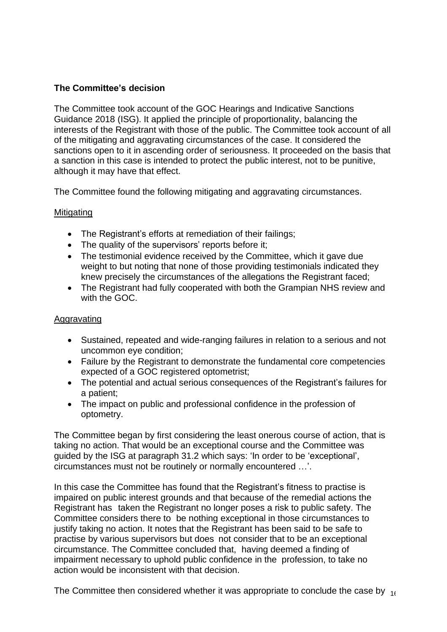# **The Committee's decision**

The Committee took account of the GOC Hearings and Indicative Sanctions Guidance 2018 (ISG). It applied the principle of proportionality, balancing the interests of the Registrant with those of the public. The Committee took account of all of the mitigating and aggravating circumstances of the case. It considered the sanctions open to it in ascending order of seriousness. It proceeded on the basis that a sanction in this case is intended to protect the public interest, not to be punitive, although it may have that effect.

The Committee found the following mitigating and aggravating circumstances.

## Mitigating

- The Registrant's efforts at remediation of their failings;
- The quality of the supervisors' reports before it;
- The testimonial evidence received by the Committee, which it gave due weight to but noting that none of those providing testimonials indicated they knew precisely the circumstances of the allegations the Registrant faced;
- The Registrant had fully cooperated with both the Grampian NHS review and with the GOC.

### Aggravating

- Sustained, repeated and wide-ranging failures in relation to a serious and not uncommon eye condition;
- Failure by the Registrant to demonstrate the fundamental core competencies expected of a GOC registered optometrist;
- The potential and actual serious consequences of the Registrant's failures for a patient;
- The impact on public and professional confidence in the profession of optometry.

The Committee began by first considering the least onerous course of action, that is taking no action. That would be an exceptional course and the Committee was guided by the ISG at paragraph 31.2 which says: 'In order to be 'exceptional', circumstances must not be routinely or normally encountered …'.

In this case the Committee has found that the Registrant's fitness to practise is impaired on public interest grounds and that because of the remedial actions the Registrant has taken the Registrant no longer poses a risk to public safety. The Committee considers there to be nothing exceptional in those circumstances to justify taking no action. It notes that the Registrant has been said to be safe to practise by various supervisors but does not consider that to be an exceptional circumstance. The Committee concluded that, having deemed a finding of impairment necessary to uphold public confidence in the profession, to take no action would be inconsistent with that decision.

The Committee then considered whether it was appropriate to conclude the case by  $_{10}$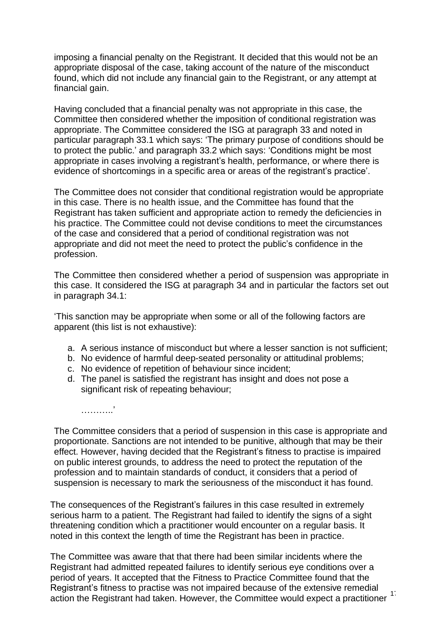imposing a financial penalty on the Registrant. It decided that this would not be an appropriate disposal of the case, taking account of the nature of the misconduct found, which did not include any financial gain to the Registrant, or any attempt at financial gain.

Having concluded that a financial penalty was not appropriate in this case, the Committee then considered whether the imposition of conditional registration was appropriate. The Committee considered the ISG at paragraph 33 and noted in particular paragraph 33.1 which says: 'The primary purpose of conditions should be to protect the public.' and paragraph 33.2 which says: 'Conditions might be most appropriate in cases involving a registrant's health, performance, or where there is evidence of shortcomings in a specific area or areas of the registrant's practice'.

The Committee does not consider that conditional registration would be appropriate in this case. There is no health issue, and the Committee has found that the Registrant has taken sufficient and appropriate action to remedy the deficiencies in his practice. The Committee could not devise conditions to meet the circumstances of the case and considered that a period of conditional registration was not appropriate and did not meet the need to protect the public's confidence in the profession.

The Committee then considered whether a period of suspension was appropriate in this case. It considered the ISG at paragraph 34 and in particular the factors set out in paragraph 34.1:

'This sanction may be appropriate when some or all of the following factors are apparent (this list is not exhaustive):

- a. A serious instance of misconduct but where a lesser sanction is not sufficient;
- b. No evidence of harmful deep-seated personality or attitudinal problems;
- c. No evidence of repetition of behaviour since incident;

.<br>……………

d. The panel is satisfied the registrant has insight and does not pose a significant risk of repeating behaviour;

The Committee considers that a period of suspension in this case is appropriate and proportionate. Sanctions are not intended to be punitive, although that may be their effect. However, having decided that the Registrant's fitness to practise is impaired on public interest grounds, to address the need to protect the reputation of the profession and to maintain standards of conduct, it considers that a period of suspension is necessary to mark the seriousness of the misconduct it has found.

The consequences of the Registrant's failures in this case resulted in extremely serious harm to a patient. The Registrant had failed to identify the signs of a sight threatening condition which a practitioner would encounter on a regular basis. It noted in this context the length of time the Registrant has been in practice.

action the Registrant had taken. However, the Committee would expect a practitioner <sup>11</sup> The Committee was aware that that there had been similar incidents where the Registrant had admitted repeated failures to identify serious eye conditions over a period of years. It accepted that the Fitness to Practice Committee found that the Registrant's fitness to practise was not impaired because of the extensive remedial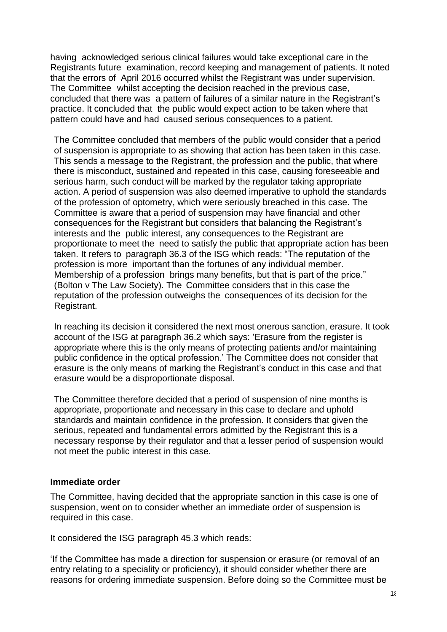having acknowledged serious clinical failures would take exceptional care in the Registrants future examination, record keeping and management of patients. It noted that the errors of April 2016 occurred whilst the Registrant was under supervision. The Committee whilst accepting the decision reached in the previous case, concluded that there was a pattern of failures of a similar nature in the Registrant's practice. It concluded that the public would expect action to be taken where that pattern could have and had caused serious consequences to a patient.

The Committee concluded that members of the public would consider that a period of suspension is appropriate to as showing that action has been taken in this case. This sends a message to the Registrant, the profession and the public, that where there is misconduct, sustained and repeated in this case, causing foreseeable and serious harm, such conduct will be marked by the regulator taking appropriate action. A period of suspension was also deemed imperative to uphold the standards of the profession of optometry, which were seriously breached in this case. The Committee is aware that a period of suspension may have financial and other consequences for the Registrant but considers that balancing the Registrant's interests and the public interest, any consequences to the Registrant are proportionate to meet the need to satisfy the public that appropriate action has been taken. It refers to paragraph 36.3 of the ISG which reads: "The reputation of the profession is more important than the fortunes of any individual member. Membership of a profession brings many benefits, but that is part of the price." (Bolton v The Law Society). The Committee considers that in this case the reputation of the profession outweighs the consequences of its decision for the Registrant.

In reaching its decision it considered the next most onerous sanction, erasure. It took account of the ISG at paragraph 36.2 which says: 'Erasure from the register is appropriate where this is the only means of protecting patients and/or maintaining public confidence in the optical profession.' The Committee does not consider that erasure is the only means of marking the Registrant's conduct in this case and that erasure would be a disproportionate disposal.

The Committee therefore decided that a period of suspension of nine months is appropriate, proportionate and necessary in this case to declare and uphold standards and maintain confidence in the profession. It considers that given the serious, repeated and fundamental errors admitted by the Registrant this is a necessary response by their regulator and that a lesser period of suspension would not meet the public interest in this case.

### **Immediate order**

The Committee, having decided that the appropriate sanction in this case is one of suspension, went on to consider whether an immediate order of suspension is required in this case.

It considered the ISG paragraph 45.3 which reads:

'If the Committee has made a direction for suspension or erasure (or removal of an entry relating to a speciality or proficiency), it should consider whether there are reasons for ordering immediate suspension. Before doing so the Committee must be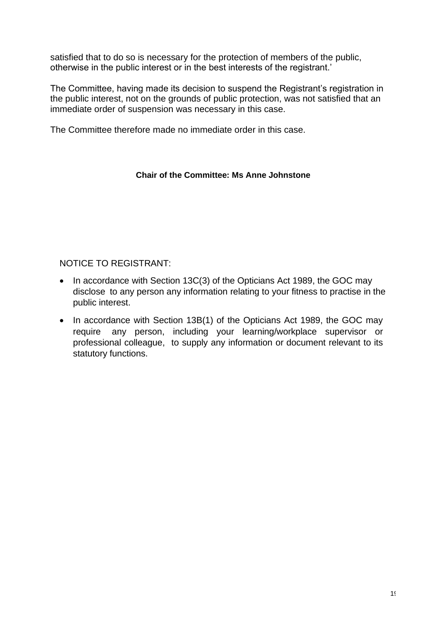satisfied that to do so is necessary for the protection of members of the public, otherwise in the public interest or in the best interests of the registrant.'

The Committee, having made its decision to suspend the Registrant's registration in the public interest, not on the grounds of public protection, was not satisfied that an immediate order of suspension was necessary in this case.

The Committee therefore made no immediate order in this case.

### **Chair of the Committee: Ms Anne Johnstone**

## NOTICE TO REGISTRANT:

- In accordance with Section 13C(3) of the Opticians Act 1989, the GOC may disclose to any person any information relating to your fitness to practise in the public interest.
- In accordance with Section 13B(1) of the Opticians Act 1989, the GOC may require any person, including your learning/workplace supervisor or professional colleague, to supply any information or document relevant to its statutory functions.